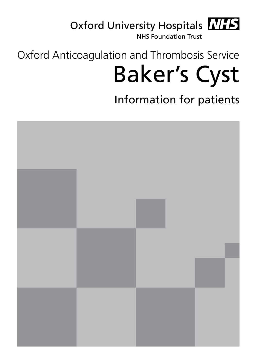Oxford University Hospitals MIS

**NHS Foundation Trust** 

# Oxford Anticoagulation and Thrombosis Service Baker's Cyst

Information for patients

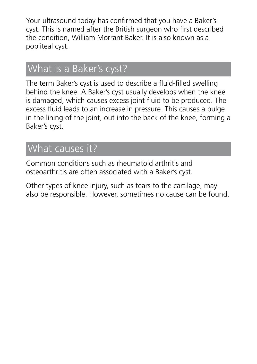Your ultrasound today has confirmed that you have a Baker's cyst. This is named after the British surgeon who first described the condition, William Morrant Baker. It is also known as a popliteal cyst.

### What is a Baker's cyst?

The term Baker's cyst is used to describe a fluid-filled swelling behind the knee. A Baker's cyst usually develops when the knee is damaged, which causes excess joint fluid to be produced. The excess fluid leads to an increase in pressure. This causes a bulge in the lining of the joint, out into the back of the knee, forming a Baker's cyst.

#### What causes it?

Common conditions such as rheumatoid arthritis and osteoarthritis are often associated with a Baker's cyst.

Other types of knee injury, such as tears to the cartilage, may also be responsible. However, sometimes no cause can be found.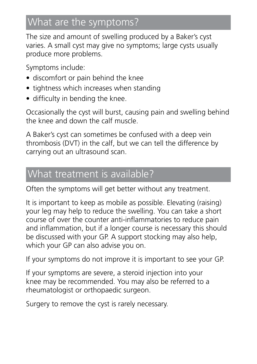## What are the symptoms?

The size and amount of swelling produced by a Baker's cyst varies. A small cyst may give no symptoms; large cysts usually produce more problems.

Symptoms include:

- discomfort or pain behind the knee
- tightness which increases when standing
- difficulty in bending the knee.

Occasionally the cyst will burst, causing pain and swelling behind the knee and down the calf muscle.

A Baker's cyst can sometimes be confused with a deep vein thrombosis (DVT) in the calf, but we can tell the difference by carrying out an ultrasound scan.

#### What treatment is available?

Often the symptoms will get better without any treatment.

It is important to keep as mobile as possible. Elevating (raising) your leg may help to reduce the swelling. You can take a short course of over the counter anti-inflammatories to reduce pain and inflammation, but if a longer course is necessary this should be discussed with your GP. A support stocking may also help, which your GP can also advise you on.

If your symptoms do not improve it is important to see your GP.

If your symptoms are severe, a steroid injection into your knee may be recommended. You may also be referred to a rheumatologist or orthopaedic surgeon.

Surgery to remove the cyst is rarely necessary.